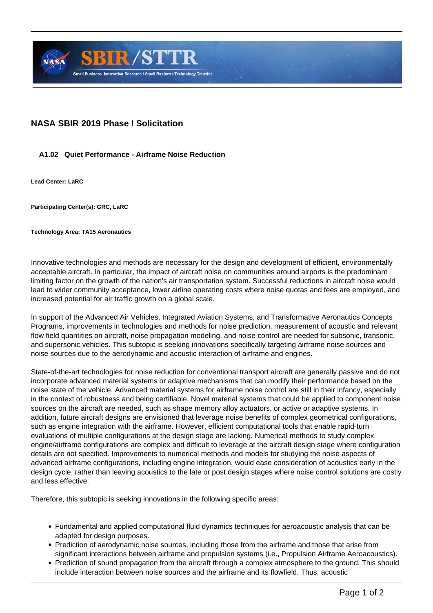

## **NASA SBIR 2019 Phase I Solicitation**

## **A1.02 Quiet Performance - Airframe Noise Reduction**

**Lead Center: LaRC**

**Participating Center(s): GRC, LaRC**

**Technology Area: TA15 Aeronautics**

Innovative technologies and methods are necessary for the design and development of efficient, environmentally acceptable aircraft. In particular, the impact of aircraft noise on communities around airports is the predominant limiting factor on the growth of the nation's air transportation system. Successful reductions in aircraft noise would lead to wider community acceptance, lower airline operating costs where noise quotas and fees are employed, and increased potential for air traffic growth on a global scale.

In support of the Advanced Air Vehicles, Integrated Aviation Systems, and Transformative Aeronautics Concepts Programs, improvements in technologies and methods for noise prediction, measurement of acoustic and relevant flow field quantities on aircraft, noise propagation modeling, and noise control are needed for subsonic, transonic, and supersonic vehicles. This subtopic is seeking innovations specifically targeting airframe noise sources and noise sources due to the aerodynamic and acoustic interaction of airframe and engines.

State-of-the-art technologies for noise reduction for conventional transport aircraft are generally passive and do not incorporate advanced material systems or adaptive mechanisms that can modify their performance based on the noise state of the vehicle. Advanced material systems for airframe noise control are still in their infancy, especially in the context of robustness and being certifiable. Novel material systems that could be applied to component noise sources on the aircraft are needed, such as shape memory alloy actuators, or active or adaptive systems. In addition, future aircraft designs are envisioned that leverage noise benefits of complex geometrical configurations, such as engine integration with the airframe. However, efficient computational tools that enable rapid-turn evaluations of multiple configurations at the design stage are lacking. Numerical methods to study complex engine/airframe configurations are complex and difficult to leverage at the aircraft design stage where configuration details are not specified. Improvements to numerical methods and models for studying the noise aspects of advanced airframe configurations, including engine integration, would ease consideration of acoustics early in the design cycle, rather than leaving acoustics to the late or post design stages where noise control solutions are costly and less effective.

Therefore, this subtopic is seeking innovations in the following specific areas:

- Fundamental and applied computational fluid dynamics techniques for aeroacoustic analysis that can be adapted for design purposes.
- Prediction of aerodynamic noise sources, including those from the airframe and those that arise from significant interactions between airframe and propulsion systems (i.e., Propulsion Airframe Aeroacoustics).
- Prediction of sound propagation from the aircraft through a complex atmosphere to the ground. This should include interaction between noise sources and the airframe and its flowfield. Thus, acoustic